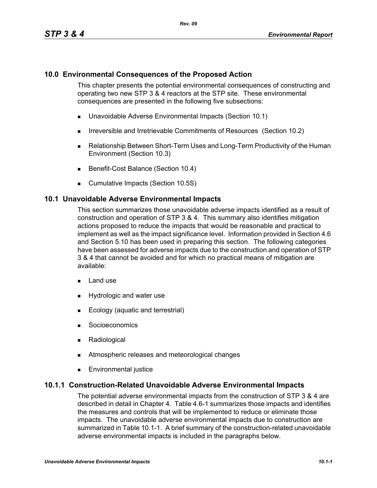## **10.0 Environmental Consequences of the Proposed Action**

This chapter presents the potential environmental consequences of constructing and operating two new STP 3 & 4 reactors at the STP site. These environmental consequences are presented in the following five subsections:

- Unavoidable Adverse Environmental Impacts (Section 10.1)
- **IFIRE 19.5 Irreversible and Irretrievable Commitments of Resources (Section 10.2)**
- Relationship Between Short-Term Uses and Long-Term Productivity of the Human Environment (Section 10.3)
- Benefit-Cost Balance (Section 10.4)
- **Cumulative Impacts (Section 10.5S)**

### **10.1 Unavoidable Adverse Environmental Impacts**

This section summarizes those unavoidable adverse impacts identified as a result of construction and operation of STP 3 & 4. This summary also identifies mitigation actions proposed to reduce the impacts that would be reasonable and practical to implement as well as the impact significance level. Information provided in Section 4.6 and Section 5.10 has been used in preparing this section. The following categories have been assessed for adverse impacts due to the construction and operation of STP 3 & 4 that cannot be avoided and for which no practical means of mitigation are available:

- $\blacksquare$  Land use
- **Hydrologic and water use**
- **Ecology (aquatic and terrestrial)**
- **Socioeconomics**
- **Radiological**
- **EXECUTE:** Atmospheric releases and meteorological changes
- **Environmental justice**

### **10.1.1 Construction-Related Unavoidable Adverse Environmental Impacts**

The potential adverse environmental impacts from the construction of STP 3 & 4 are described in detail in Chapter 4. Table 4.6-1 summarizes those impacts and identifies the measures and controls that will be implemented to reduce or eliminate those impacts. The unavoidable adverse environmental impacts due to construction are summarized in Table 10.1-1. A brief summary of the construction-related unavoidable adverse environmental impacts is included in the paragraphs below.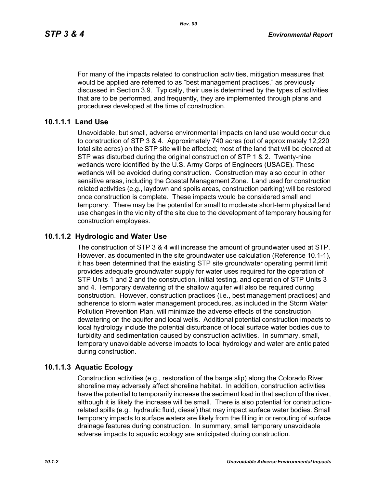For many of the impacts related to construction activities, mitigation measures that would be applied are referred to as "best management practices," as previously discussed in Section 3.9. Typically, their use is determined by the types of activities that are to be performed, and frequently, they are implemented through plans and procedures developed at the time of construction.

## **10.1.1.1 Land Use**

Unavoidable, but small, adverse environmental impacts on land use would occur due to construction of STP 3 & 4. Approximately 740 acres (out of approximately 12,220 total site acres) on the STP site will be affected; most of the land that will be cleared at STP was disturbed during the original construction of STP 1 & 2. Twenty-nine wetlands were identified by the U.S. Army Corps of Engineers (USACE). These wetlands will be avoided during construction. Construction may also occur in other sensitive areas, including the Coastal Management Zone. Land used for construction related activities (e.g., laydown and spoils areas, construction parking) will be restored once construction is complete. These impacts would be considered small and temporary. There may be the potential for small to moderate short-term physical land use changes in the vicinity of the site due to the development of temporary housing for construction employees.

## **10.1.1.2 Hydrologic and Water Use**

The construction of STP 3 & 4 will increase the amount of groundwater used at STP. However, as documented in the site groundwater use calculation (Reference 10.1-1), it has been determined that the existing STP site groundwater operating permit limit provides adequate groundwater supply for water uses required for the operation of STP Units 1 and 2 and the construction, initial testing, and operation of STP Units 3 and 4. Temporary dewatering of the shallow aquifer will also be required during construction. However, construction practices (i.e., best management practices) and adherence to storm water management procedures, as included in the Storm Water Pollution Prevention Plan, will minimize the adverse effects of the construction dewatering on the aquifer and local wells. Additional potential construction impacts to local hydrology include the potential disturbance of local surface water bodies due to turbidity and sedimentation caused by construction activities. In summary, small, temporary unavoidable adverse impacts to local hydrology and water are anticipated during construction.

### **10.1.1.3 Aquatic Ecology**

Construction activities (e.g., restoration of the barge slip) along the Colorado River shoreline may adversely affect shoreline habitat. In addition, construction activities have the potential to temporarily increase the sediment load in that section of the river, although it is likely the increase will be small. There is also potential for constructionrelated spills (e.g., hydraulic fluid, diesel) that may impact surface water bodies. Small temporary impacts to surface waters are likely from the filling in or rerouting of surface drainage features during construction. In summary, small temporary unavoidable adverse impacts to aquatic ecology are anticipated during construction.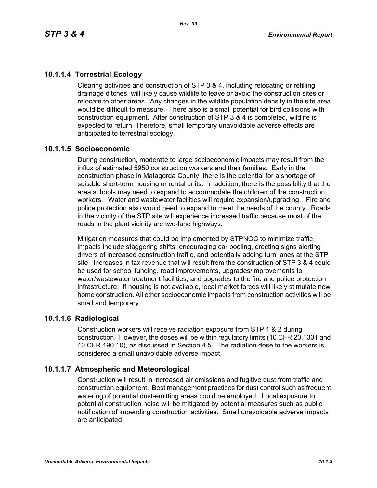# **10.1.1.4 Terrestrial Ecology**

Clearing activities and construction of STP 3 & 4, including relocating or refilling drainage ditches, will likely cause wildlife to leave or avoid the construction sites or relocate to other areas. Any changes in the wildlife population density in the site area would be difficult to measure. There also is a small potential for bird collisions with construction equipment. After construction of STP 3 & 4 is completed, wildlife is expected to return. Therefore, small temporary unavoidable adverse effects are anticipated to terrestrial ecology.

## **10.1.1.5 Socioeconomic**

During construction, moderate to large socioeconomic impacts may result from the influx of estimated 5950 construction workers and their families. Early in the construction phase in Matagorda County, there is the potential for a shortage of suitable short-term housing or rental units. In addition, there is the possibility that the area schools may need to expand to accommodate the children of the construction workers. Water and wastewater facilities will require expansion/upgrading. Fire and police protection also would need to expand to meet the needs of the county. Roads in the vicinity of the STP site will experience increased traffic because most of the roads in the plant vicinity are two-lane highways.

Mitigation measures that could be implemented by STPNOC to minimize traffic impacts include staggering shifts, encouraging car pooling, erecting signs alerting drivers of increased construction traffic, and potentially adding turn lanes at the STP site. Increases in tax revenue that will result from the construction of STP 3 & 4 could be used for school funding, road improvements, upgrades/improvements to water/wastewater treatment facilities, and upgrades to the fire and police protection infrastructure. If housing is not available, local market forces will likely stimulate new home construction. All other socioeconomic impacts from construction activities will be small and temporary.

### **10.1.1.6 Radiological**

Construction workers will receive radiation exposure from STP 1 & 2 during construction. However, the doses will be within regulatory limits (10 CFR 20.1301 and 40 CFR 190.10), as discussed in Section 4.5. The radiation dose to the workers is considered a small unavoidable adverse impact.

## **10.1.1.7 Atmospheric and Meteorological**

Construction will result in increased air emissions and fugitive dust from traffic and construction equipment. Best management practices for dust control such as frequent watering of potential dust-emitting areas could be employed. Local exposure to potential construction noise will be mitigated by potential measures such as public notification of impending construction activities. Small unavoidable adverse impacts are anticipated.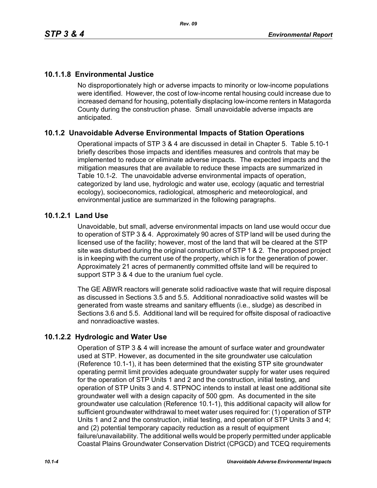# **10.1.1.8 Environmental Justice**

No disproportionately high or adverse impacts to minority or low-income populations were identified. However, the cost of low-income rental housing could increase due to increased demand for housing, potentially displacing low-income renters in Matagorda County during the construction phase. Small unavoidable adverse impacts are anticipated.

## **10.1.2 Unavoidable Adverse Environmental Impacts of Station Operations**

Operational impacts of STP 3 & 4 are discussed in detail in Chapter 5. Table 5.10-1 briefly describes those impacts and identifies measures and controls that may be implemented to reduce or eliminate adverse impacts. The expected impacts and the mitigation measures that are available to reduce these impacts are summarized in Table 10.1-2. The unavoidable adverse environmental impacts of operation, categorized by land use, hydrologic and water use, ecology (aquatic and terrestrial ecology), socioeconomics, radiological, atmospheric and meteorological, and environmental justice are summarized in the following paragraphs.

## **10.1.2.1 Land Use**

Unavoidable, but small, adverse environmental impacts on land use would occur due to operation of STP 3 & 4. Approximately 90 acres of STP land will be used during the licensed use of the facility; however, most of the land that will be cleared at the STP site was disturbed during the original construction of STP 1 & 2. The proposed project is in keeping with the current use of the property, which is for the generation of power. Approximately 21 acres of permanently committed offsite land will be required to support STP 3 & 4 due to the uranium fuel cycle.

The GE ABWR reactors will generate solid radioactive waste that will require disposal as discussed in Sections 3.5 and 5.5. Additional nonradioactive solid wastes will be generated from waste streams and sanitary effluents (i.e., sludge) as described in Sections 3.6 and 5.5. Additional land will be required for offsite disposal of radioactive and nonradioactive wastes.

## **10.1.2.2 Hydrologic and Water Use**

Operation of STP 3 & 4 will increase the amount of surface water and groundwater used at STP. However, as documented in the site groundwater use calculation (Reference 10.1-1), it has been determined that the existing STP site groundwater operating permit limit provides adequate groundwater supply for water uses required for the operation of STP Units 1 and 2 and the construction, initial testing, and operation of STP Units 3 and 4. STPNOC intends to install at least one additional site groundwater well with a design capacity of 500 gpm. As documented in the site groundwater use calculation (Reference 10.1-1), this additional capacity will allow for sufficient groundwater withdrawal to meet water uses required for: (1) operation of STP Units 1 and 2 and the construction, initial testing, and operation of STP Units 3 and 4; and (2) potential temporary capacity reduction as a result of equipment failure/unavailability. The additional wells would be properly permitted under applicable Coastal Plains Groundwater Conservation District (CPGCD) and TCEQ requirements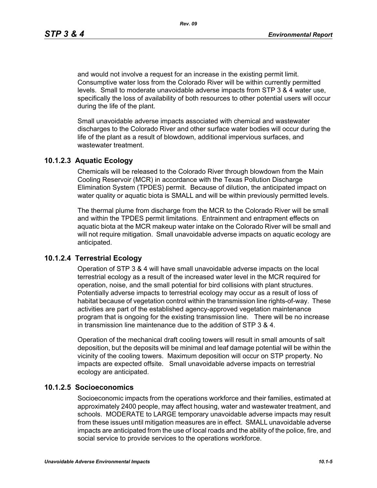and would not involve a request for an increase in the existing permit limit. Consumptive water loss from the Colorado River will be within currently permitted levels. Small to moderate unavoidable adverse impacts from STP 3 & 4 water use, specifically the loss of availability of both resources to other potential users will occur during the life of the plant.

Small unavoidable adverse impacts associated with chemical and wastewater discharges to the Colorado River and other surface water bodies will occur during the life of the plant as a result of blowdown, additional impervious surfaces, and wastewater treatment.

### **10.1.2.3 Aquatic Ecology**

Chemicals will be released to the Colorado River through blowdown from the Main Cooling Reservoir (MCR) in accordance with the Texas Pollution Discharge Elimination System (TPDES) permit. Because of dilution, the anticipated impact on water quality or aquatic biota is SMALL and will be within previously permitted levels.

The thermal plume from discharge from the MCR to the Colorado River will be small and within the TPDES permit limitations. Entrainment and entrapment effects on aquatic biota at the MCR makeup water intake on the Colorado River will be small and will not require mitigation. Small unavoidable adverse impacts on aquatic ecology are anticipated.

### **10.1.2.4 Terrestrial Ecology**

Operation of STP 3 & 4 will have small unavoidable adverse impacts on the local terrestrial ecology as a result of the increased water level in the MCR required for operation, noise, and the small potential for bird collisions with plant structures. Potentially adverse impacts to terrestrial ecology may occur as a result of loss of habitat because of vegetation control within the transmission line rights-of-way. These activities are part of the established agency-approved vegetation maintenance program that is ongoing for the existing transmission line. There will be no increase in transmission line maintenance due to the addition of STP 3 & 4.

Operation of the mechanical draft cooling towers will result in small amounts of salt deposition, but the deposits will be minimal and leaf damage potential will be within the vicinity of the cooling towers. Maximum deposition will occur on STP property. No impacts are expected offsite. Small unavoidable adverse impacts on terrestrial ecology are anticipated.

### **10.1.2.5 Socioeconomics**

Socioeconomic impacts from the operations workforce and their families, estimated at approximately 2400 people, may affect housing, water and wastewater treatment, and schools. MODERATE to LARGE temporary unavoidable adverse impacts may result from these issues until mitigation measures are in effect. SMALL unavoidable adverse impacts are anticipated from the use of local roads and the ability of the police, fire, and social service to provide services to the operations workforce.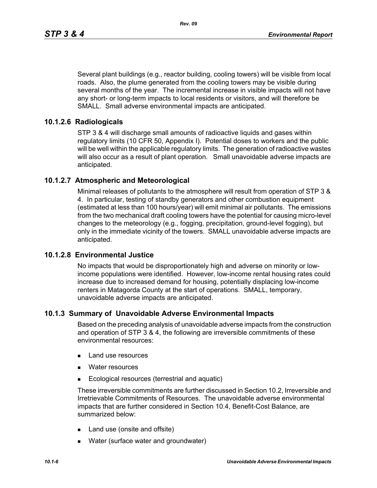Several plant buildings (e.g., reactor building, cooling towers) will be visible from local roads. Also, the plume generated from the cooling towers may be visible during several months of the year. The incremental increase in visible impacts will not have any short- or long-term impacts to local residents or visitors, and will therefore be SMALL. Small adverse environmental impacts are anticipated.

## **10.1.2.6 Radiologicals**

STP 3 & 4 will discharge small amounts of radioactive liquids and gases within regulatory limits (10 CFR 50, Appendix I). Potential doses to workers and the public will be well within the applicable regulatory limits. The generation of radioactive wastes will also occur as a result of plant operation. Small unavoidable adverse impacts are anticipated.

## **10.1.2.7 Atmospheric and Meteorological**

Minimal releases of pollutants to the atmosphere will result from operation of STP 3 & 4. In particular, testing of standby generators and other combustion equipment (estimated at less than 100 hours/year) will emit minimal air pollutants. The emissions from the two mechanical draft cooling towers have the potential for causing micro-level changes to the meteorology (e.g., fogging, precipitation, ground-level fogging), but only in the immediate vicinity of the towers. SMALL unavoidable adverse impacts are anticipated.

### **10.1.2.8 Environmental Justice**

No impacts that would be disproportionately high and adverse on minority or lowincome populations were identified. However, low-income rental housing rates could increase due to increased demand for housing, potentially displacing low-income renters in Matagorda County at the start of operations. SMALL, temporary, unavoidable adverse impacts are anticipated.

### **10.1.3 Summary of Unavoidable Adverse Environmental Impacts**

Based on the preceding analysis of unavoidable adverse impacts from the construction and operation of STP 3 & 4, the following are irreversible commitments of these environmental resources:

- **Land use resources**
- **Nater resources**
- **Ecological resources (terrestrial and aquatic)**

These irreversible commitments are further discussed in Section 10.2, Irreversible and Irretrievable Commitments of Resources. The unavoidable adverse environmental impacts that are further considered in Section 10.4, Benefit-Cost Balance, are summarized below:

- Land use (onsite and offsite)
- **Nater (surface water and groundwater)**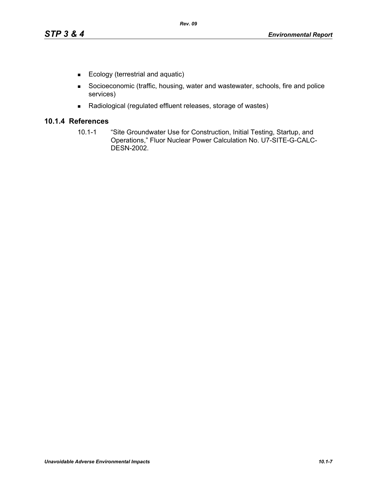- Ecology (terrestrial and aquatic)
- Socioeconomic (traffic, housing, water and wastewater, schools, fire and police services)
- Radiological (regulated effluent releases, storage of wastes)

## **10.1.4 References**

10.1-1 "Site Groundwater Use for Construction, Initial Testing, Startup, and Operations," Fluor Nuclear Power Calculation No. U7-SITE-G-CALC-DESN-2002.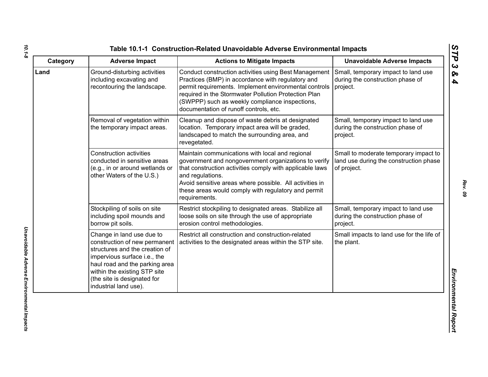| Category | <b>Adverse Impact</b>                                                                                                                                                                                                                                  | <b>Actions to Mitigate Impacts</b>                                                                                                                                                                                                                                                                                         | <b>Unavoidable Adverse Impacts</b>                                                             |
|----------|--------------------------------------------------------------------------------------------------------------------------------------------------------------------------------------------------------------------------------------------------------|----------------------------------------------------------------------------------------------------------------------------------------------------------------------------------------------------------------------------------------------------------------------------------------------------------------------------|------------------------------------------------------------------------------------------------|
| Land     | Ground-disturbing activities<br>including excavating and<br>recontouring the landscape.                                                                                                                                                                | Conduct construction activities using Best Management<br>Practices (BMP) in accordance with regulatory and<br>permit requirements. Implement environmental controls<br>required in the Stormwater Pollution Protection Plan<br>(SWPPP) such as weekly compliance inspections,<br>documentation of runoff controls, etc.    | Small, temporary impact to land use<br>during the construction phase of<br>project.            |
|          | Removal of vegetation within<br>the temporary impact areas.                                                                                                                                                                                            | Cleanup and dispose of waste debris at designated<br>location. Temporary impact area will be graded,<br>landscaped to match the surrounding area, and<br>revegetated.                                                                                                                                                      | Small, temporary impact to land use<br>during the construction phase of<br>project.            |
|          | <b>Construction activities</b><br>conducted in sensitive areas<br>(e.g., in or around wetlands or<br>other Waters of the U.S.)                                                                                                                         | Maintain communications with local and regional<br>government and nongovernment organizations to verify<br>that construction activities comply with applicable laws<br>and regulations.<br>Avoid sensitive areas where possible. All activities in<br>these areas would comply with regulatory and permit<br>requirements. | Small to moderate temporary impact to<br>land use during the construction phase<br>of project. |
|          | Stockpiling of soils on site<br>including spoil mounds and<br>borrow pit soils.                                                                                                                                                                        | Restrict stockpiling to designated areas. Stabilize all<br>loose soils on site through the use of appropriate<br>erosion control methodologies.                                                                                                                                                                            | Small, temporary impact to land use<br>during the construction phase of<br>project.            |
|          | Change in land use due to<br>construction of new permanent<br>structures and the creation of<br>impervious surface i.e., the<br>haul road and the parking area<br>within the existing STP site<br>(the site is designated for<br>industrial land use). | Restrict all construction and construction-related<br>activities to the designated areas within the STP site.                                                                                                                                                                                                              | Small impacts to land use for the life of<br>the plant.                                        |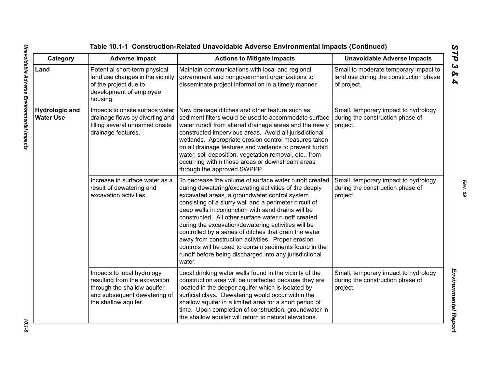| Category                                  | <b>Adverse Impact</b>                                                                                                                               | <b>Actions to Mitigate Impacts</b>                                                                                                                                                                                                                                                                                                                                                                                                                                                                                                                                                                                                           | <b>Unavoidable Adverse Impacts</b>                                                             |
|-------------------------------------------|-----------------------------------------------------------------------------------------------------------------------------------------------------|----------------------------------------------------------------------------------------------------------------------------------------------------------------------------------------------------------------------------------------------------------------------------------------------------------------------------------------------------------------------------------------------------------------------------------------------------------------------------------------------------------------------------------------------------------------------------------------------------------------------------------------------|------------------------------------------------------------------------------------------------|
| Land                                      | Potential short-term physical<br>land use changes in the vicinity<br>of the project due to<br>development of employee<br>housing.                   | Maintain communications with local and regional<br>government and nongovernment organizations to<br>disseminate project information in a timely manner.                                                                                                                                                                                                                                                                                                                                                                                                                                                                                      | Small to moderate temporary impact to<br>land use during the construction phase<br>of project. |
| <b>Hydrologic and</b><br><b>Water Use</b> | Impacts to onsite surface water<br>drainage flows by diverting and<br>filling several unnamed onsite<br>drainage features.                          | New drainage ditches and other feature such as<br>sediment filters would be used to accommodate surface<br>water runoff from altered drainage areas and the newly<br>constructed impervious areas. Avoid all jurisdictional<br>wetlands. Appropriate erosion control measures taken<br>on all drainage features and wetlands to prevent turbid<br>water, soil deposition, vegetation removal, etc., from<br>occurring within those areas or downstream areas<br>through the approved SWPPP.                                                                                                                                                  | Small, temporary impact to hydrology<br>during the construction phase of<br>project.           |
|                                           | Increase in surface water as a<br>result of dewatering and<br>excavation activities.                                                                | To decrease the volume of surface water runoff created<br>during dewatering/excavating activities of the deeply<br>excavated areas, a groundwater control system<br>consisting of a slurry wall and a perimeter circuit of<br>deep wells in conjunction with sand drains will be<br>constructed. All other surface water runoff created<br>during the excavation/dewatering activities will be<br>controlled by a series of ditches that drain the water<br>away from construction activities. Proper erosion<br>controls will be used to contain sediments found in the<br>runoff before being discharged into any jurisdictional<br>water. | Small, temporary impact to hydrology<br>during the construction phase of<br>project.           |
|                                           | Impacts to local hydrology<br>resulting from the excavation<br>through the shallow aquifer,<br>and subsequent dewatering of<br>the shallow aquifer. | Local drinking water wells found in the vicinity of the<br>construction area will be unaffected because they are<br>located in the deeper aquifer which is isolated by<br>surficial clays. Dewatering would occur within the<br>shallow aquifer in a limited area for a short period of<br>time. Upon completion of construction, groundwater in<br>the shallow aquifer will return to natural elevations.                                                                                                                                                                                                                                   | Small, temporary impact to hydrology<br>during the construction phase of<br>project.           |

 $10.1 - 9$ 

*Rev. 09*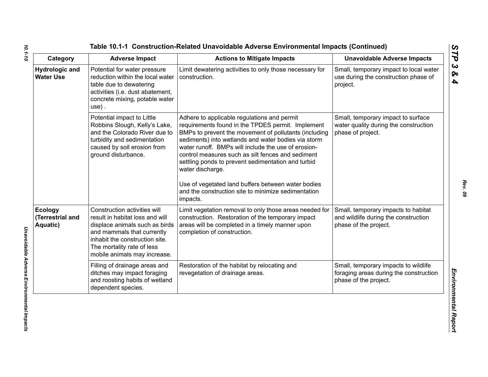| Category                                       | <b>Adverse Impact</b>                                                                                                                                                                                                           | <b>Actions to Mitigate Impacts</b>                                                                                                                                                                                                                                                                                                                                                                                                                                                                                              | <b>Unavoidable Adverse Impacts</b>                                                                      |
|------------------------------------------------|---------------------------------------------------------------------------------------------------------------------------------------------------------------------------------------------------------------------------------|---------------------------------------------------------------------------------------------------------------------------------------------------------------------------------------------------------------------------------------------------------------------------------------------------------------------------------------------------------------------------------------------------------------------------------------------------------------------------------------------------------------------------------|---------------------------------------------------------------------------------------------------------|
| <b>Hydrologic and</b><br><b>Water Use</b>      | Potential for water pressure<br>reduction within the local water<br>table due to dewatering<br>activities (i.e. dust abatement,<br>concrete mixing, potable water<br>$use)$ .                                                   | Limit dewatering activities to only those necessary for<br>construction.                                                                                                                                                                                                                                                                                                                                                                                                                                                        | Small, temporary impact to local water<br>use during the construction phase of<br>project.              |
|                                                | Potential impact to Little<br>Robbins Slough, Kelly's Lake,<br>and the Colorado River due to<br>turbidity and sedimentation<br>caused by soil erosion from<br>ground disturbance.                                               | Adhere to applicable regulations and permit<br>requirements found in the TPDES permit. Implement<br>BMPs to prevent the movement of pollutants (including<br>sediments) into wetlands and water bodies via storm<br>water runoff. BMPs will include the use of erosion-<br>control measures such as silt fences and sediment<br>settling ponds to prevent sedimentation and turbid<br>water discharge.<br>Use of vegetated land buffers between water bodies<br>and the construction site to minimize sedimentation<br>impacts. | Small, temporary impact to surface<br>water quality during the construction<br>phase of project.        |
| <b>Ecology</b><br>(Terrestrial and<br>Aquatic) | Construction activities will<br>result in habitat loss and will<br>displace animals such as birds<br>and mammals that currently<br>inhabit the construction site.<br>The mortality rate of less<br>mobile animals may increase. | Limit vegetation removal to only those areas needed for<br>construction. Restoration of the temporary impact<br>areas will be completed in a timely manner upon<br>completion of construction.                                                                                                                                                                                                                                                                                                                                  | Small, temporary impacts to habitat<br>and wildlife during the construction<br>phase of the project.    |
|                                                | Filling of drainage areas and<br>ditches may impact foraging<br>and roosting habits of wetland<br>dependent species.                                                                                                            | Restoration of the habitat by relocating and<br>revegetation of drainage areas.                                                                                                                                                                                                                                                                                                                                                                                                                                                 | Small, temporary impacts to wildlife<br>foraging areas during the construction<br>phase of the project. |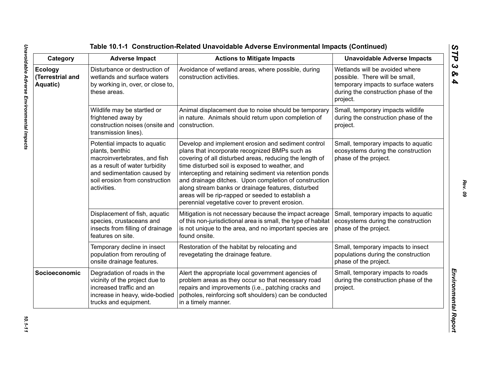| Category                                | <b>Adverse Impact</b>                                                                                                                                                                             | <b>Actions to Mitigate Impacts</b>                                                                                                                                                                                                                                                                                                                                                                                                                                                                 | <b>Unavoidable Adverse Impacts</b>                                                                                                                          |
|-----------------------------------------|---------------------------------------------------------------------------------------------------------------------------------------------------------------------------------------------------|----------------------------------------------------------------------------------------------------------------------------------------------------------------------------------------------------------------------------------------------------------------------------------------------------------------------------------------------------------------------------------------------------------------------------------------------------------------------------------------------------|-------------------------------------------------------------------------------------------------------------------------------------------------------------|
| Ecology<br>(Terrestrial and<br>Aquatic) | Disturbance or destruction of<br>wetlands and surface waters<br>by working in, over, or close to,<br>these areas.                                                                                 | Avoidance of wetland areas, where possible, during<br>construction activities.                                                                                                                                                                                                                                                                                                                                                                                                                     | Wetlands will be avoided where<br>possible. There will be small,<br>temporary impacts to surface waters<br>during the construction phase of the<br>project. |
|                                         | Wildlife may be startled or<br>frightened away by<br>construction noises (onsite and<br>transmission lines).                                                                                      | Animal displacement due to noise should be temporary<br>in nature. Animals should return upon completion of<br>construction.                                                                                                                                                                                                                                                                                                                                                                       | Small, temporary impacts wildlife<br>during the construction phase of the<br>project.                                                                       |
|                                         | Potential impacts to aquatic<br>plants, benthic<br>macroinvertebrates, and fish<br>as a result of water turbidity<br>and sedimentation caused by<br>soil erosion from construction<br>activities. | Develop and implement erosion and sediment control<br>plans that incorporate recognized BMPs such as<br>covering of all disturbed areas, reducing the length of<br>time disturbed soil is exposed to weather, and<br>intercepting and retaining sediment via retention ponds<br>and drainage ditches. Upon completion of construction<br>along stream banks or drainage features, disturbed<br>areas will be rip-rapped or seeded to establish a<br>perennial vegetative cover to prevent erosion. | Small, temporary impacts to aquatic<br>ecosystems during the construction<br>phase of the project.                                                          |
|                                         | Displacement of fish, aquatic<br>species, crustaceans and<br>insects from filling of drainage<br>features on site.                                                                                | Mitigation is not necessary because the impact acreage<br>of this non-jurisdictional area is small, the type of habitat<br>is not unique to the area, and no important species are<br>found onsite.                                                                                                                                                                                                                                                                                                | Small, temporary impacts to aquatic<br>ecosystems during the construction<br>phase of the project.                                                          |
|                                         | Temporary decline in insect<br>population from rerouting of<br>onsite drainage features.                                                                                                          | Restoration of the habitat by relocating and<br>revegetating the drainage feature.                                                                                                                                                                                                                                                                                                                                                                                                                 | Small, temporary impacts to insect<br>populations during the construction<br>phase of the project.                                                          |
| Socioeconomic                           | Degradation of roads in the<br>vicinity of the project due to<br>increased traffic and an<br>increase in heavy, wide-bodied<br>trucks and equipment.                                              | Alert the appropriate local government agencies of<br>problem areas as they occur so that necessary road<br>repairs and improvements (i.e., patching cracks and<br>potholes, reinforcing soft shoulders) can be conducted<br>in a timely manner.                                                                                                                                                                                                                                                   | Small, temporary impacts to roads<br>during the construction phase of the<br>project.                                                                       |

*STP 3 & 4*

10.1-11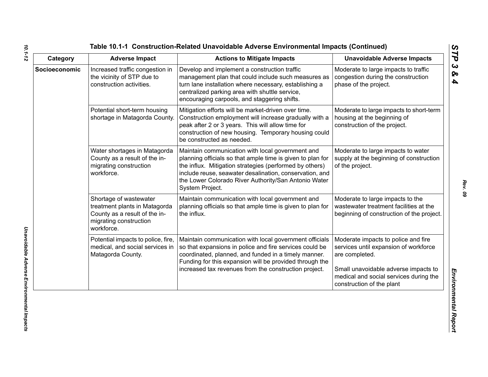| Category      | <b>Adverse Impact</b>                                                                                                            | <b>Actions to Mitigate Impacts</b>                                                                                                                                                                                                                                                                              | <b>Unavoidable Adverse Impacts</b>                                                                                                                                                                            |
|---------------|----------------------------------------------------------------------------------------------------------------------------------|-----------------------------------------------------------------------------------------------------------------------------------------------------------------------------------------------------------------------------------------------------------------------------------------------------------------|---------------------------------------------------------------------------------------------------------------------------------------------------------------------------------------------------------------|
| Socioeconomic | Increased traffic congestion in<br>the vicinity of STP due to<br>construction activities.                                        | Develop and implement a construction traffic<br>management plan that could include such measures as<br>turn lane installation where necessary, establishing a<br>centralized parking area with shuttle service,<br>encouraging carpools, and staggering shifts.                                                 | Moderate to large impacts to traffic<br>congestion during the construction<br>phase of the project.                                                                                                           |
|               | Potential short-term housing<br>shortage in Matagorda County.                                                                    | Mitigation efforts will be market-driven over time.<br>Construction employment will increase gradually with a<br>peak after 2 or 3 years. This will allow time for<br>construction of new housing. Temporary housing could<br>be constructed as needed.                                                         | Moderate to large impacts to short-term<br>housing at the beginning of<br>construction of the project.                                                                                                        |
|               | Water shortages in Matagorda<br>County as a result of the in-<br>migrating construction<br>workforce.                            | Maintain communication with local government and<br>planning officials so that ample time is given to plan for<br>the influx. Mitigation strategies (performed by others)<br>include reuse, seawater desalination, conservation, and<br>the Lower Colorado River Authority/San Antonio Water<br>System Project. | Moderate to large impacts to water<br>supply at the beginning of construction<br>of the project.                                                                                                              |
|               | Shortage of wastewater<br>treatment plants in Matagorda<br>County as a result of the in-<br>migrating construction<br>workforce. | Maintain communication with local government and<br>planning officials so that ample time is given to plan for<br>the influx.                                                                                                                                                                                   | Moderate to large impacts to the<br>wastewater treatment facilities at the<br>beginning of construction of the project.                                                                                       |
|               | Potential impacts to police, fire,<br>medical, and social services in<br>Matagorda County.                                       | Maintain communication with local government officials<br>so that expansions in police and fire services could be<br>coordinated, planned, and funded in a timely manner.<br>Funding for this expansion will be provided through the<br>increased tax revenues from the construction project.                   | Moderate impacts to police and fire<br>services until expansion of workforce<br>are completed.<br>Small unavoidable adverse impacts to<br>medical and social services during the<br>construction of the plant |

*10.1-12*

*Rev. 09*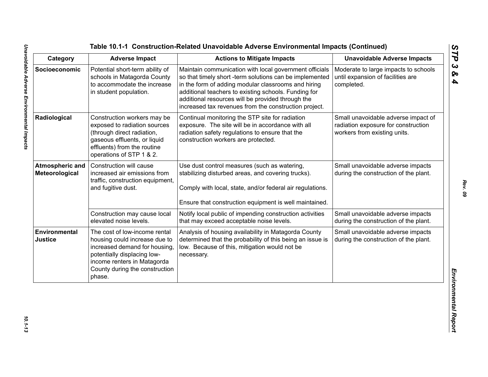| Category                                 | <b>Adverse Impact</b>                                                                                                                                                                                     | <b>Actions to Mitigate Impacts</b>                                                                                                                                                                                                                                                                                                             | <b>Unavoidable Adverse Impacts</b>                                                                         |
|------------------------------------------|-----------------------------------------------------------------------------------------------------------------------------------------------------------------------------------------------------------|------------------------------------------------------------------------------------------------------------------------------------------------------------------------------------------------------------------------------------------------------------------------------------------------------------------------------------------------|------------------------------------------------------------------------------------------------------------|
| Socioeconomic                            | Potential short-term ability of<br>schools in Matagorda County<br>to accommodate the increase<br>in student population.                                                                                   | Maintain communication with local government officials<br>so that timely short -term solutions can be implemented<br>in the form of adding modular classrooms and hiring<br>additional teachers to existing schools. Funding for<br>additional resources will be provided through the<br>increased tax revenues from the construction project. | Moderate to large impacts to schools<br>until expansion of facilities are<br>completed.                    |
| Radiological                             | Construction workers may be<br>exposed to radiation sources<br>(through direct radiation,<br>gaseous effluents, or liquid<br>effluents) from the routine<br>operations of STP 1 & 2.                      | Continual monitoring the STP site for radiation<br>exposure. The site will be in accordance with all<br>radiation safety regulations to ensure that the<br>construction workers are protected.                                                                                                                                                 | Small unavoidable adverse impact of<br>radiation exposure for construction<br>workers from existing units. |
| <b>Atmospheric and</b><br>Meteorological | Construction will cause<br>increased air emissions from<br>traffic, construction equipment,<br>and fugitive dust.                                                                                         | Use dust control measures (such as watering,<br>stabilizing disturbed areas, and covering trucks).<br>Comply with local, state, and/or federal air regulations.<br>Ensure that construction equipment is well maintained.                                                                                                                      | Small unavoidable adverse impacts<br>during the construction of the plant.                                 |
|                                          | Construction may cause local<br>elevated noise levels.                                                                                                                                                    | Notify local public of impending construction activities<br>that may exceed acceptable noise levels.                                                                                                                                                                                                                                           | Small unavoidable adverse impacts<br>during the construction of the plant.                                 |
| Environmental<br><b>Justice</b>          | The cost of low-income rental<br>housing could increase due to<br>increased demand for housing,<br>potentially displacing low-<br>income renters in Matagorda<br>County during the construction<br>phase. | Analysis of housing availability in Matagorda County<br>determined that the probability of this being an issue is<br>low. Because of this, mitigation would not be<br>necessary.                                                                                                                                                               | Small unavoidable adverse impacts<br>during the construction of the plant.                                 |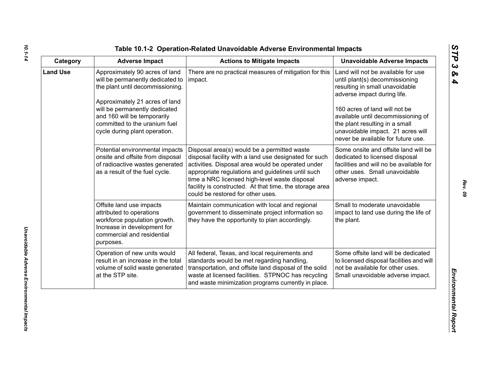| ທ  |
|----|
|    |
| C  |
| ພ  |
| ∞  |
| A, |

| Category        | <b>Adverse Impact</b>                                                                                                                                                                                                                                                      | <b>Actions to Mitigate Impacts</b>                                                                                                                                                                                                                                                                                                                              | <b>Unavoidable Adverse Impacts</b>                                                                                                                                                                                                                                                                                        |
|-----------------|----------------------------------------------------------------------------------------------------------------------------------------------------------------------------------------------------------------------------------------------------------------------------|-----------------------------------------------------------------------------------------------------------------------------------------------------------------------------------------------------------------------------------------------------------------------------------------------------------------------------------------------------------------|---------------------------------------------------------------------------------------------------------------------------------------------------------------------------------------------------------------------------------------------------------------------------------------------------------------------------|
| <b>Land Use</b> | Approximately 90 acres of land<br>will be permanently dedicated to<br>the plant until decommissioning.<br>Approximately 21 acres of land<br>will be permanently dedicated<br>and 160 will be temporarily<br>committed to the uranium fuel<br>cycle during plant operation. | There are no practical measures of mitigation for this<br>impact.                                                                                                                                                                                                                                                                                               | Land will not be available for use<br>until plant(s) decommissioning<br>resulting in small unavoidable<br>adverse impact during life.<br>160 acres of land will not be<br>available until decommissioning of<br>the plant resulting in a small<br>unavoidable impact. 21 acres will<br>never be available for future use. |
|                 | Potential environmental impacts<br>onsite and offsite from disposal<br>of radioactive wastes generated<br>as a result of the fuel cycle.                                                                                                                                   | Disposal area(s) would be a permitted waste<br>disposal facility with a land use designated for such<br>activities. Disposal area would be operated under<br>appropriate regulations and guidelines until such<br>time a NRC licensed high-level waste disposal<br>facility is constructed. At that time, the storage area<br>could be restored for other uses. | Some onsite and offsite land will be<br>dedicated to licensed disposal<br>facilities and will no be available for<br>other uses. Small unavoidable<br>adverse impact.                                                                                                                                                     |
|                 | Offsite land use impacts<br>attributed to operations<br>workforce population growth.<br>Increase in development for<br>commercial and residential<br>purposes.                                                                                                             | Maintain communication with local and regional<br>government to disseminate project information so<br>they have the opportunity to plan accordingly.                                                                                                                                                                                                            | Small to moderate unavoidable<br>impact to land use during the life of<br>the plant.                                                                                                                                                                                                                                      |
|                 | Operation of new units would<br>result in an increase in the total<br>volume of solid waste generated<br>at the STP site.                                                                                                                                                  | All federal, Texas, and local requirements and<br>standards would be met regarding handling,<br>transportation, and offsite land disposal of the solid<br>waste at licensed facilities. STPNOC has recycling<br>and waste minimization programs currently in place.                                                                                             | Some offsite land will be dedicated<br>to licensed disposal facilities and will<br>not be available for other uses.<br>Small unavoidable adverse impact.                                                                                                                                                                  |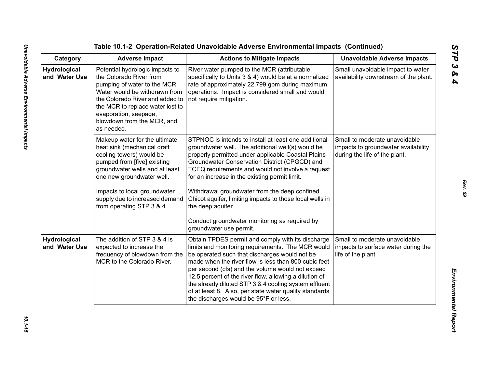Table 10.1-2 Operation-Related Unavoidable Adverse Emplore<br>
Category Adverse Impact<br>
Category Adverse Impact<br>
Marchard Involved Marcha Constant Action to Miligate Impacts<br>
Marchard Involved Marcha Constant Constant Constan

*STP 3 & 4*

*Rev. 09*

10.1-15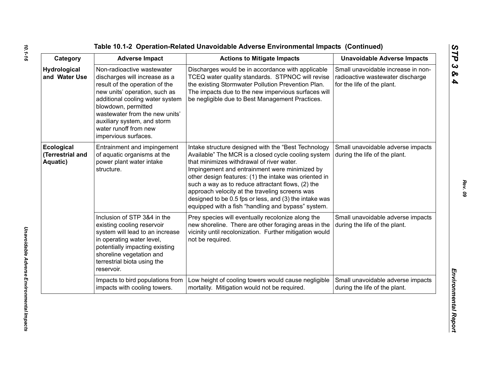| Category                                   | <b>Adverse Impact</b>                                                                                                                                                                                                                                                                                      | <b>Actions to Mitigate Impacts</b>                                                                                                                                                                                                                                                                                                                                                                                                                                                       | <b>Unavoidable Adverse Impacts</b>                                                                   |
|--------------------------------------------|------------------------------------------------------------------------------------------------------------------------------------------------------------------------------------------------------------------------------------------------------------------------------------------------------------|------------------------------------------------------------------------------------------------------------------------------------------------------------------------------------------------------------------------------------------------------------------------------------------------------------------------------------------------------------------------------------------------------------------------------------------------------------------------------------------|------------------------------------------------------------------------------------------------------|
| <b>Hydrological</b><br>and Water Use       | Non-radioactive wastewater<br>discharges will increase as a<br>result of the operation of the<br>new units' operation, such as<br>additional cooling water system<br>blowdown, permitted<br>wastewater from the new units'<br>auxiliary system, and storm<br>water runoff from new<br>impervious surfaces. | Discharges would be in accordance with applicable<br>TCEQ water quality standards. STPNOC will revise<br>the existing Stormwater Pollution Prevention Plan.<br>The impacts due to the new impervious surfaces will<br>be negligible due to Best Management Practices.                                                                                                                                                                                                                    | Small unavoidable increase in non-<br>radioactive wastewater discharge<br>for the life of the plant. |
| Ecological<br>(Terrestrial and<br>Aquatic) | Entrainment and impingement<br>of aquatic organisms at the<br>power plant water intake<br>structure.                                                                                                                                                                                                       | Intake structure designed with the "Best Technology<br>Available" The MCR is a closed cycle cooling system<br>that minimizes withdrawal of river water.<br>Impingement and entrainment were minimized by<br>other design features: (1) the intake was oriented in<br>such a way as to reduce attractant flows, (2) the<br>approach velocity at the traveling screens was<br>designed to be 0.5 fps or less, and (3) the intake was<br>equipped with a fish "handling and bypass" system. | Small unavoidable adverse impacts<br>during the life of the plant.                                   |
|                                            | Inclusion of STP 3&4 in the<br>existing cooling reservoir<br>system will lead to an increase<br>in operating water level,<br>potentially impacting existing<br>shoreline vegetation and<br>terrestrial biota using the<br>reservoir.                                                                       | Prey species will eventually recolonize along the<br>new shoreline. There are other foraging areas in the<br>vicinity until recolonization. Further mitigation would<br>not be required.                                                                                                                                                                                                                                                                                                 | Small unavoidable adverse impacts<br>during the life of the plant.                                   |
|                                            | Impacts to bird populations from<br>impacts with cooling towers.                                                                                                                                                                                                                                           | Low height of cooling towers would cause negligible<br>mortality. Mitigation would not be required.                                                                                                                                                                                                                                                                                                                                                                                      | Small unavoidable adverse impacts<br>during the life of the plant.                                   |